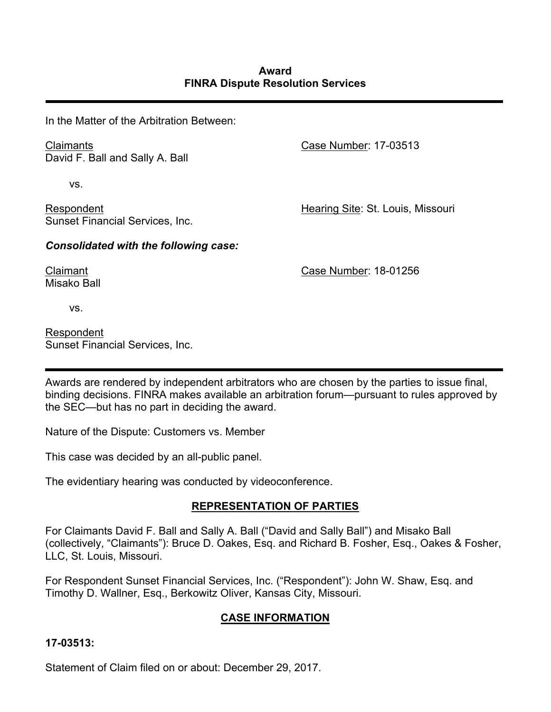In the Matter of the Arbitration Between:

Claimants David F. Ball and Sally A. Ball

vs.

Respondent Sunset Financial Services, Inc. Case Number: 17-03513

Hearing Site: St. Louis, Missouri

*Consolidated with the following case:*

Case Number: 18-01256

Misako Ball vs.

Claimant

Respondent Sunset Financial Services, Inc.

Awards are rendered by independent arbitrators who are chosen by the parties to issue final, binding decisions. FINRA makes available an arbitration forum—pursuant to rules approved by the SEC—but has no part in deciding the award.

Nature of the Dispute: Customers vs. Member

This case was decided by an all-public panel.

The evidentiary hearing was conducted by videoconference.

# **REPRESENTATION OF PARTIES**

For Claimants David F. Ball and Sally A. Ball ("David and Sally Ball") and Misako Ball (collectively, "Claimants"): Bruce D. Oakes, Esq. and Richard B. Fosher, Esq., Oakes & Fosher, LLC, St. Louis, Missouri.

For Respondent Sunset Financial Services, Inc. ("Respondent"): John W. Shaw, Esq. and Timothy D. Wallner, Esq., Berkowitz Oliver, Kansas City, Missouri.

# **CASE INFORMATION**

### **17-03513:**

Statement of Claim filed on or about: December 29, 2017.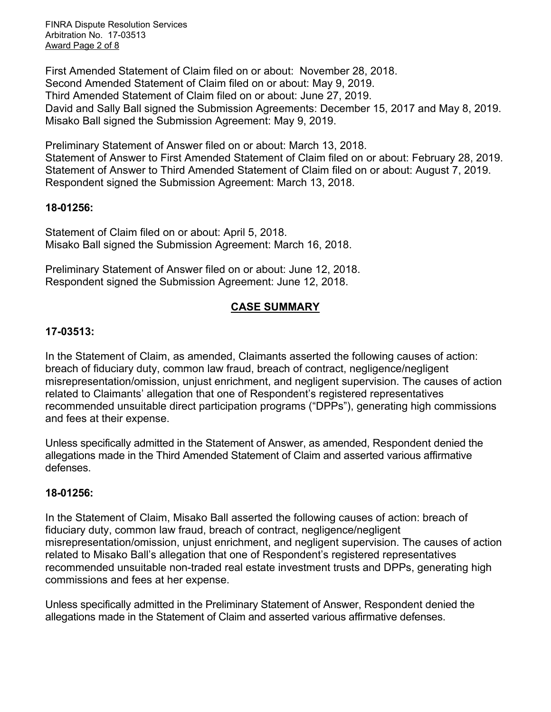FINRA Dispute Resolution Services Arbitration No. 17-03513 Award Page 2 of 8

First Amended Statement of Claim filed on or about: November 28, 2018. Second Amended Statement of Claim filed on or about: May 9, 2019. Third Amended Statement of Claim filed on or about: June 27, 2019. David and Sally Ball signed the Submission Agreements: December 15, 2017 and May 8, 2019. Misako Ball signed the Submission Agreement: May 9, 2019.

Preliminary Statement of Answer filed on or about: March 13, 2018. Statement of Answer to First Amended Statement of Claim filed on or about: February 28, 2019. Statement of Answer to Third Amended Statement of Claim filed on or about: August 7, 2019. Respondent signed the Submission Agreement: March 13, 2018.

### **18-01256:**

Statement of Claim filed on or about: April 5, 2018. Misako Ball signed the Submission Agreement: March 16, 2018.

Preliminary Statement of Answer filed on or about: June 12, 2018. Respondent signed the Submission Agreement: June 12, 2018.

### **CASE SUMMARY**

### **17-03513:**

In the Statement of Claim, as amended, Claimants asserted the following causes of action: breach of fiduciary duty, common law fraud, breach of contract, negligence/negligent misrepresentation/omission, unjust enrichment, and negligent supervision. The causes of action related to Claimants' allegation that one of Respondent's registered representatives recommended unsuitable direct participation programs ("DPPs"), generating high commissions and fees at their expense.

Unless specifically admitted in the Statement of Answer, as amended, Respondent denied the allegations made in the Third Amended Statement of Claim and asserted various affirmative defenses.

### **18-01256:**

In the Statement of Claim, Misako Ball asserted the following causes of action: breach of fiduciary duty, common law fraud, breach of contract, negligence/negligent misrepresentation/omission, unjust enrichment, and negligent supervision. The causes of action related to Misako Ball's allegation that one of Respondent's registered representatives recommended unsuitable non-traded real estate investment trusts and DPPs, generating high commissions and fees at her expense.

Unless specifically admitted in the Preliminary Statement of Answer, Respondent denied the allegations made in the Statement of Claim and asserted various affirmative defenses.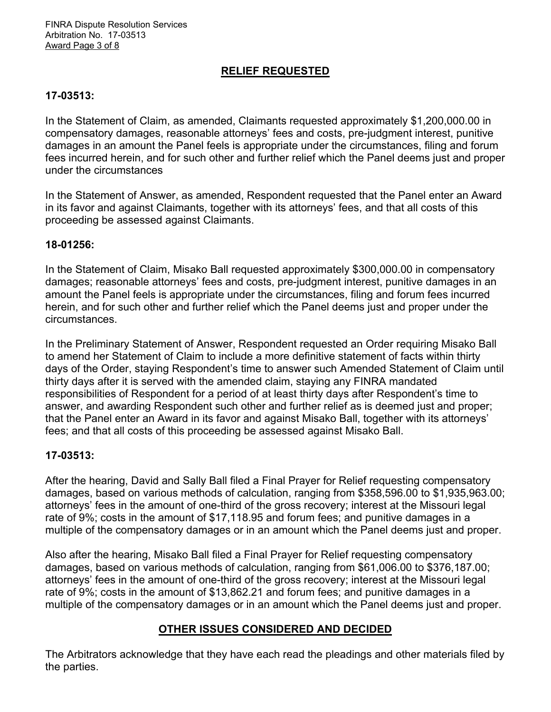FINRA Dispute Resolution Services Arbitration No. 17-03513 Award Page 3 of 8

### **RELIEF REQUESTED**

### **17-03513:**

In the Statement of Claim, as amended, Claimants requested approximately \$1,200,000.00 in compensatory damages, reasonable attorneys' fees and costs, pre-judgment interest, punitive damages in an amount the Panel feels is appropriate under the circumstances, filing and forum fees incurred herein, and for such other and further relief which the Panel deems just and proper under the circumstances

In the Statement of Answer, as amended, Respondent requested that the Panel enter an Award in its favor and against Claimants, together with its attorneys' fees, and that all costs of this proceeding be assessed against Claimants.

#### **18-01256:**

In the Statement of Claim, Misako Ball requested approximately \$300,000.00 in compensatory damages; reasonable attorneys' fees and costs, pre-judgment interest, punitive damages in an amount the Panel feels is appropriate under the circumstances, filing and forum fees incurred herein, and for such other and further relief which the Panel deems just and proper under the circumstances.

In the Preliminary Statement of Answer, Respondent requested an Order requiring Misako Ball to amend her Statement of Claim to include a more definitive statement of facts within thirty days of the Order, staying Respondent's time to answer such Amended Statement of Claim until thirty days after it is served with the amended claim, staying any FINRA mandated responsibilities of Respondent for a period of at least thirty days after Respondent's time to answer, and awarding Respondent such other and further relief as is deemed just and proper; that the Panel enter an Award in its favor and against Misako Ball, together with its attorneys' fees; and that all costs of this proceeding be assessed against Misako Ball.

### **17-03513:**

After the hearing, David and Sally Ball filed a Final Prayer for Relief requesting compensatory damages, based on various methods of calculation, ranging from \$358,596.00 to \$1,935,963.00; attorneys' fees in the amount of one-third of the gross recovery; interest at the Missouri legal rate of 9%; costs in the amount of \$17,118.95 and forum fees; and punitive damages in a multiple of the compensatory damages or in an amount which the Panel deems just and proper.

Also after the hearing, Misako Ball filed a Final Prayer for Relief requesting compensatory damages, based on various methods of calculation, ranging from \$61,006.00 to \$376,187.00; attorneys' fees in the amount of one-third of the gross recovery; interest at the Missouri legal rate of 9%; costs in the amount of \$13,862.21 and forum fees; and punitive damages in a multiple of the compensatory damages or in an amount which the Panel deems just and proper.

### **OTHER ISSUES CONSIDERED AND DECIDED**

The Arbitrators acknowledge that they have each read the pleadings and other materials filed by the parties.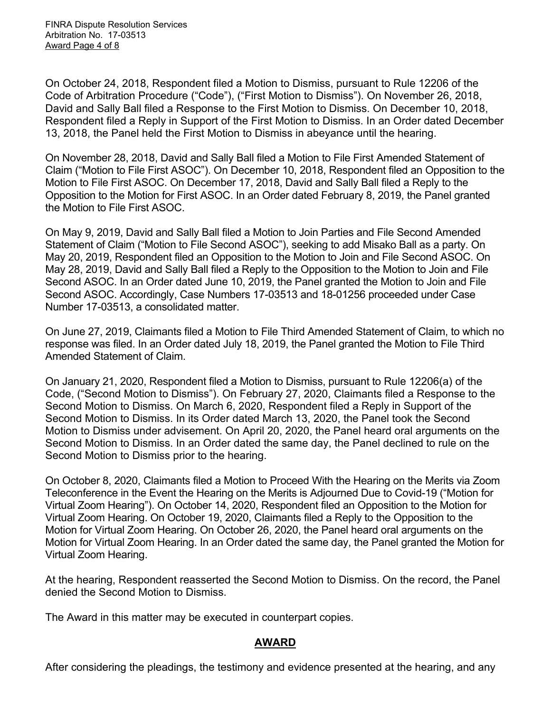On October 24, 2018, Respondent filed a Motion to Dismiss, pursuant to Rule 12206 of the Code of Arbitration Procedure ("Code"), ("First Motion to Dismiss"). On November 26, 2018, David and Sally Ball filed a Response to the First Motion to Dismiss. On December 10, 2018, Respondent filed a Reply in Support of the First Motion to Dismiss. In an Order dated December 13, 2018, the Panel held the First Motion to Dismiss in abeyance until the hearing.

On November 28, 2018, David and Sally Ball filed a Motion to File First Amended Statement of Claim ("Motion to File First ASOC"). On December 10, 2018, Respondent filed an Opposition to the Motion to File First ASOC. On December 17, 2018, David and Sally Ball filed a Reply to the Opposition to the Motion for First ASOC. In an Order dated February 8, 2019, the Panel granted the Motion to File First ASOC.

On May 9, 2019, David and Sally Ball filed a Motion to Join Parties and File Second Amended Statement of Claim ("Motion to File Second ASOC"), seeking to add Misako Ball as a party. On May 20, 2019, Respondent filed an Opposition to the Motion to Join and File Second ASOC. On May 28, 2019, David and Sally Ball filed a Reply to the Opposition to the Motion to Join and File Second ASOC. In an Order dated June 10, 2019, the Panel granted the Motion to Join and File Second ASOC. Accordingly, Case Numbers 17-03513 and 18-01256 proceeded under Case Number 17-03513, a consolidated matter.

On June 27, 2019, Claimants filed a Motion to File Third Amended Statement of Claim, to which no response was filed. In an Order dated July 18, 2019, the Panel granted the Motion to File Third Amended Statement of Claim.

On January 21, 2020, Respondent filed a Motion to Dismiss, pursuant to Rule 12206(a) of the Code, ("Second Motion to Dismiss"). On February 27, 2020, Claimants filed a Response to the Second Motion to Dismiss. On March 6, 2020, Respondent filed a Reply in Support of the Second Motion to Dismiss. In its Order dated March 13, 2020, the Panel took the Second Motion to Dismiss under advisement. On April 20, 2020, the Panel heard oral arguments on the Second Motion to Dismiss. In an Order dated the same day, the Panel declined to rule on the Second Motion to Dismiss prior to the hearing.

On October 8, 2020, Claimants filed a Motion to Proceed With the Hearing on the Merits via Zoom Teleconference in the Event the Hearing on the Merits is Adjourned Due to Covid-19 ("Motion for Virtual Zoom Hearing"). On October 14, 2020, Respondent filed an Opposition to the Motion for Virtual Zoom Hearing. On October 19, 2020, Claimants filed a Reply to the Opposition to the Motion for Virtual Zoom Hearing. On October 26, 2020, the Panel heard oral arguments on the Motion for Virtual Zoom Hearing. In an Order dated the same day, the Panel granted the Motion for Virtual Zoom Hearing.

At the hearing, Respondent reasserted the Second Motion to Dismiss. On the record, the Panel denied the Second Motion to Dismiss.

The Award in this matter may be executed in counterpart copies.

### **AWARD**

After considering the pleadings, the testimony and evidence presented at the hearing, and any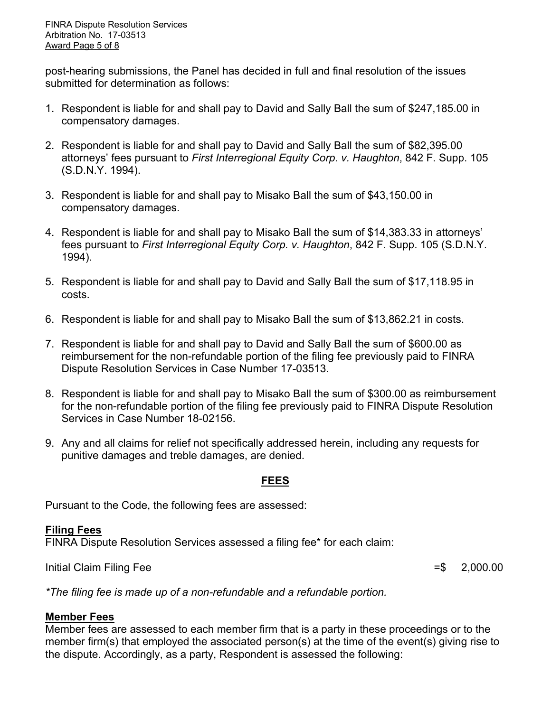post-hearing submissions, the Panel has decided in full and final resolution of the issues submitted for determination as follows:

- 1. Respondent is liable for and shall pay to David and Sally Ball the sum of \$247,185.00 in compensatory damages.
- 2. Respondent is liable for and shall pay to David and Sally Ball the sum of \$82,395.00 attorneys' fees pursuant to *First Interregional Equity Corp. v. Haughton*, 842 F. Supp. 105 (S.D.N.Y. 1994).
- 3. Respondent is liable for and shall pay to Misako Ball the sum of \$43,150.00 in compensatory damages.
- 4. Respondent is liable for and shall pay to Misako Ball the sum of \$14,383.33 in attorneys' fees pursuant to *First Interregional Equity Corp. v. Haughton*, 842 F. Supp. 105 (S.D.N.Y. 1994).
- 5. Respondent is liable for and shall pay to David and Sally Ball the sum of \$17,118.95 in costs.
- 6. Respondent is liable for and shall pay to Misako Ball the sum of \$13,862.21 in costs.
- 7. Respondent is liable for and shall pay to David and Sally Ball the sum of \$600.00 as reimbursement for the non-refundable portion of the filing fee previously paid to FINRA Dispute Resolution Services in Case Number 17-03513.
- 8. Respondent is liable for and shall pay to Misako Ball the sum of \$300.00 as reimbursement for the non-refundable portion of the filing fee previously paid to FINRA Dispute Resolution Services in Case Number 18-02156.
- 9. Any and all claims for relief not specifically addressed herein, including any requests for punitive damages and treble damages, are denied.

### **FEES**

Pursuant to the Code, the following fees are assessed:

## **Filing Fees**

FINRA Dispute Resolution Services assessed a filing fee\* for each claim:

Initial Claim Filing Fee  $=$  \$ 2,000.00

*\*The filing fee is made up of a non-refundable and a refundable portion.*

## **Member Fees**

Member fees are assessed to each member firm that is a party in these proceedings or to the member firm(s) that employed the associated person(s) at the time of the event(s) giving rise to the dispute. Accordingly, as a party, Respondent is assessed the following: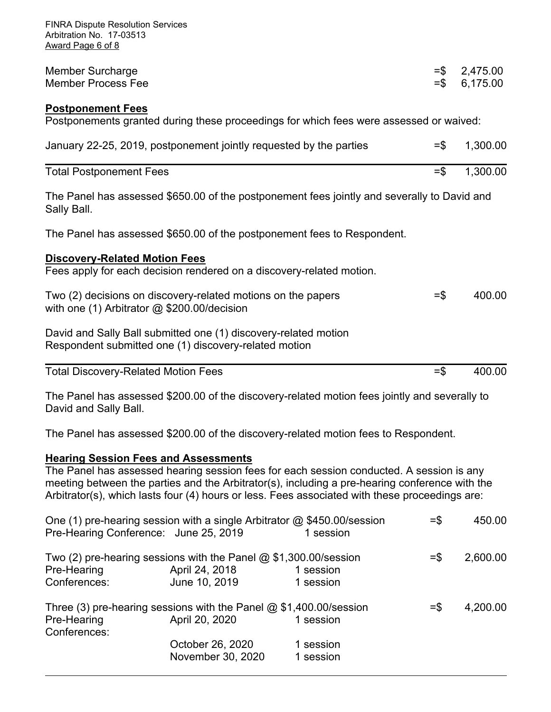| <b>FINRA Dispute Resolution Services</b><br>Arbitration No. 17-03513<br>Award Page 6 of 8                                |                  |                      |
|--------------------------------------------------------------------------------------------------------------------------|------------------|----------------------|
| <b>Member Surcharge</b><br><b>Member Process Fee</b>                                                                     | $=$ \$<br>$=$ \$ | 2,475.00<br>6,175.00 |
| <b>Postponement Fees</b><br>Postponements granted during these proceedings for which fees were assessed or waived:       |                  |                      |
| January 22-25, 2019, postponement jointly requested by the parties                                                       | $=$ \$           | 1,300.00             |
| <b>Total Postponement Fees</b>                                                                                           | $=$ \$           | 1,300.00             |
| The Panel has assessed \$650.00 of the postponement fees jointly and severally to David and<br>Sally Ball.               |                  |                      |
| The Panel has assessed \$650.00 of the postponement fees to Respondent.                                                  |                  |                      |
| <b>Discovery-Related Motion Fees</b><br>Fees apply for each decision rendered on a discovery-related motion.             |                  |                      |
| Two (2) decisions on discovery-related motions on the papers<br>with one (1) Arbitrator @ \$200.00/decision              | $=$ \$           | 400.00               |
| David and Sally Ball submitted one (1) discovery-related motion<br>Respondent submitted one (1) discovery-related motion |                  |                      |
| <b>Total Discovery-Related Motion Fees</b>                                                                               | $=$ \$           | 400.00               |
| The Panel has assessed \$200.00 of the discovery-related motion fees jointly and severally to<br>David and Sally Ball.   |                  |                      |
| The Panel has assessed \$200.00 of the discovery-related motion fees to Respondent.                                      |                  |                      |
| <b>Hearing Session Fees and Assessments</b>                                                                              |                  |                      |

The Panel has assessed hearing session fees for each session conducted. A session is any meeting between the parties and the Arbitrator(s), including a pre-hearing conference with the Arbitrator(s), which lasts four (4) hours or less. Fees associated with these proceedings are:

|                   |                                       | $=$ \$                                                                                                                                                                                                                             | 450.00   |
|-------------------|---------------------------------------|------------------------------------------------------------------------------------------------------------------------------------------------------------------------------------------------------------------------------------|----------|
|                   |                                       |                                                                                                                                                                                                                                    |          |
|                   |                                       | $=$ $\frac{1}{2}$                                                                                                                                                                                                                  | 2,600.00 |
| April 24, 2018    | 1 session                             |                                                                                                                                                                                                                                    |          |
| June 10, 2019     | 1 session                             |                                                                                                                                                                                                                                    |          |
|                   |                                       | $=$ $\frac{1}{2}$                                                                                                                                                                                                                  | 4,200.00 |
| April 20, 2020    | 1 session                             |                                                                                                                                                                                                                                    |          |
|                   |                                       |                                                                                                                                                                                                                                    |          |
| October 26, 2020  | 1 session                             |                                                                                                                                                                                                                                    |          |
| November 30, 2020 | 1 session                             |                                                                                                                                                                                                                                    |          |
|                   | Pre-Hearing Conference: June 25, 2019 | One (1) pre-hearing session with a single Arbitrator @ \$450.00/session<br>1 session<br>Two (2) pre-hearing sessions with the Panel $@$ \$1,300.00/session<br>Three (3) pre-hearing sessions with the Panel $@$ \$1,400.00/session |          |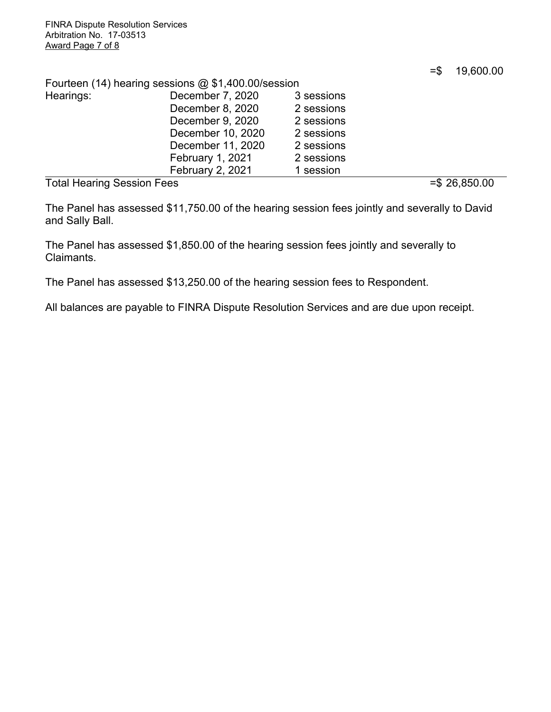=\$ 19,600.00

|  |  |  |  | Fourteen (14) hearing sessions @ \$1,400.00/session |
|--|--|--|--|-----------------------------------------------------|
|--|--|--|--|-----------------------------------------------------|

| .<br>$\sim$ |                         |            | $\sim$ $\sim$ $\sim$ $\sim$ $\sim$ |
|-------------|-------------------------|------------|------------------------------------|
|             | <b>February 2, 2021</b> | 1 session  |                                    |
|             | February 1, 2021        | 2 sessions |                                    |
|             | December 11, 2020       | 2 sessions |                                    |
|             | December 10, 2020       | 2 sessions |                                    |
|             | December 9, 2020        | 2 sessions |                                    |
|             | December 8, 2020        | 2 sessions |                                    |
| Hearings:   | December 7, 2020        | 3 sessions |                                    |
|             |                         |            |                                    |

Total Hearing Session Fees =  $\frac{1}{5}$  26,850.00

The Panel has assessed \$11,750.00 of the hearing session fees jointly and severally to David and Sally Ball.

The Panel has assessed \$1,850.00 of the hearing session fees jointly and severally to Claimants.

The Panel has assessed \$13,250.00 of the hearing session fees to Respondent.

All balances are payable to FINRA Dispute Resolution Services and are due upon receipt.